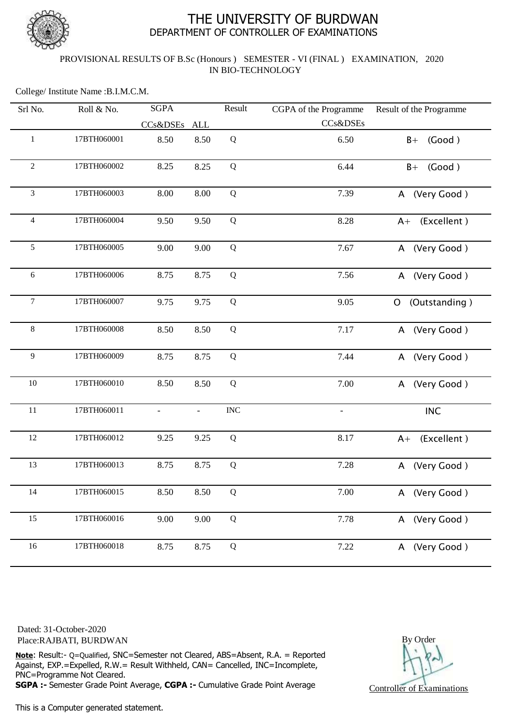

# THE UNIVERSITY OF BURDWAN DEPARTMENT OF CONTROLLER OF EXAMINATIONS

### PROVISIONAL RESULTS OF B.Sc (Honours ) SEMESTER - VI (FINAL ) EXAMINATION, 2020 IN BIO-TECHNOLOGY

College/ Institute Name :B.I.M.C.M.

| Srl No.        | Roll & No.  | <b>SGPA</b>  |                | Result      | CGPA of the Programme    | Result of the Programme     |
|----------------|-------------|--------------|----------------|-------------|--------------------------|-----------------------------|
|                |             | CCs&DSEs ALL |                |             | CCs&DSEs                 |                             |
| $\mathbf{1}$   | 17BTH060001 | 8.50         | 8.50           | ${\bf Q}$   | 6.50                     | (Good)<br>$B+$              |
| $\overline{2}$ | 17BTH060002 | 8.25         | 8.25           | ${\bf Q}$   | 6.44                     | (Good)<br>$B+$              |
| 3              | 17BTH060003 | 8.00         | 8.00           | Q           | 7.39                     | (Very Good)<br>$\mathsf{A}$ |
| 4              | 17BTH060004 | 9.50         | 9.50           | $\mathbf Q$ | 8.28                     | (Excellent)<br>$A+$         |
| 5              | 17BTH060005 | 9.00         | 9.00           | Q           | 7.67                     | (Very Good)<br>A            |
| 6              | 17BTH060006 | 8.75         | 8.75           | $\mathbf Q$ | 7.56                     | (Very Good)<br>A            |
| $\overline{7}$ | 17BTH060007 | 9.75         | 9.75           | $\mathbf Q$ | 9.05                     | (Outstanding)<br>O          |
| $8\,$          | 17BTH060008 | 8.50         | 8.50           | ${\bf Q}$   | 7.17                     | (Very Good)<br>A            |
| 9              | 17BTH060009 | 8.75         | 8.75           | Q           | 7.44                     | (Very Good)<br>A            |
| $10\,$         | 17BTH060010 | 8.50         | 8.50           | Q           | 7.00                     | (Very Good)<br>A            |
| 11             | 17BTH060011 |              | $\blacksquare$ | <b>INC</b>  | $\overline{\phantom{a}}$ | <b>INC</b>                  |
| 12             | 17BTH060012 | 9.25         | 9.25           | ${\bf Q}$   | 8.17                     | (Excellent)<br>$A+$         |
| 13             | 17BTH060013 | 8.75         | 8.75           | Q           | 7.28                     | (Very Good)<br>A            |
| 14             | 17BTH060015 | 8.50         | 8.50           | Q           | 7.00                     | A (Very Good)               |
| 15             | 17BTH060016 | 9.00         | 9.00           | ${\bf Q}$   | 7.78                     | A (Very Good)               |
| 16             | 17BTH060018 | 8.75         | 8.75           | $\mathbf Q$ | 7.22                     | A (Very Good)               |

Dated: 31-October-2020 Place:RAJBATI, BURDWAN

**Note**: Result:- Q=Qualified, SNC=Semester not Cleared, ABS=Absent, R.A. = Reported Against, EXP.=Expelled, R.W.= Result Withheld, CAN= Cancelled, INC=Incomplete, PNC=Programme Not Cleared.

**SGPA :-** Semester Grade Point Average, **CGPA :-** Cumulative Grade Point Average

This is a Computer generated statement.

By Order Controller of Examinations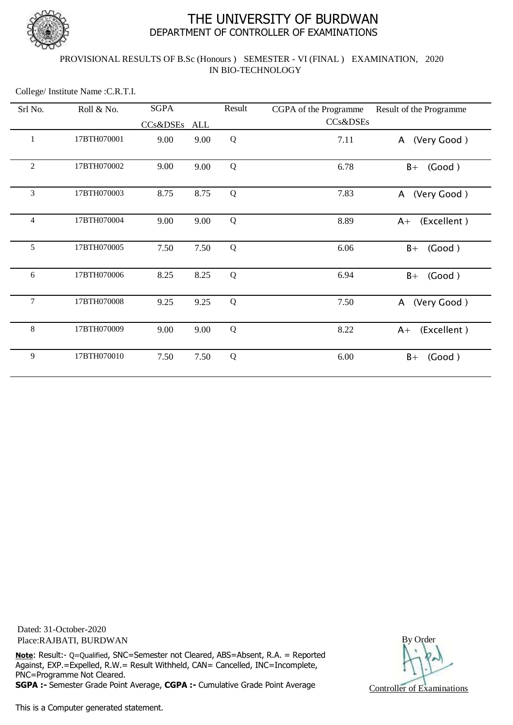

# THE UNIVERSITY OF BURDWAN DEPARTMENT OF CONTROLLER OF EXAMINATIONS

### PROVISIONAL RESULTS OF B.Sc (Honours ) SEMESTER - VI (FINAL ) EXAMINATION, 2020 IN BIO-TECHNOLOGY

College/ Institute Name :C.R.T.I.

| Srl No.        | Roll & No.  | <b>SGPA</b>  |      | Result      | CGPA of the Programme | Result of the Programme     |
|----------------|-------------|--------------|------|-------------|-----------------------|-----------------------------|
|                |             | CCs&DSEs ALL |      |             | CCs&DSEs              |                             |
| 1              | 17BTH070001 | 9.00         | 9.00 | Q           | 7.11                  | (Very Good)<br>A            |
| $\overline{2}$ | 17BTH070002 | 9.00         | 9.00 | Q           | 6.78                  | (Good)<br>$B+$              |
| 3              | 17BTH070003 | 8.75         | 8.75 | Q           | 7.83                  | (Very Good)<br>$\mathsf{A}$ |
| 4              | 17BTH070004 | 9.00         | 9.00 | Q           | 8.89                  | (Excellent)<br>$A+$         |
| 5              | 17BTH070005 | 7.50         | 7.50 | Q           | 6.06                  | (Good)<br>$B+$              |
| 6              | 17BTH070006 | 8.25         | 8.25 | $\mathbf Q$ | 6.94                  | (Good)<br>$B+$              |
| 7              | 17BTH070008 | 9.25         | 9.25 | Q           | 7.50                  | (Very Good)<br>$\mathsf{A}$ |
| 8              | 17BTH070009 | 9.00         | 9.00 | Q           | 8.22                  | (Excellent)<br>$A+$         |
| 9              | 17BTH070010 | 7.50         | 7.50 | Q           | 6.00                  | (Good)<br>$B+$              |

Dated: 31-October-2020 Place:RAJBATI, BURDWAN

**Note**: Result:- Q=Qualified, SNC=Semester not Cleared, ABS=Absent, R.A. = Reported Against, EXP.=Expelled, R.W.= Result Withheld, CAN= Cancelled, INC=Incomplete, PNC=Programme Not Cleared.

**SGPA :-** Semester Grade Point Average, **CGPA :-** Cumulative Grade Point Average